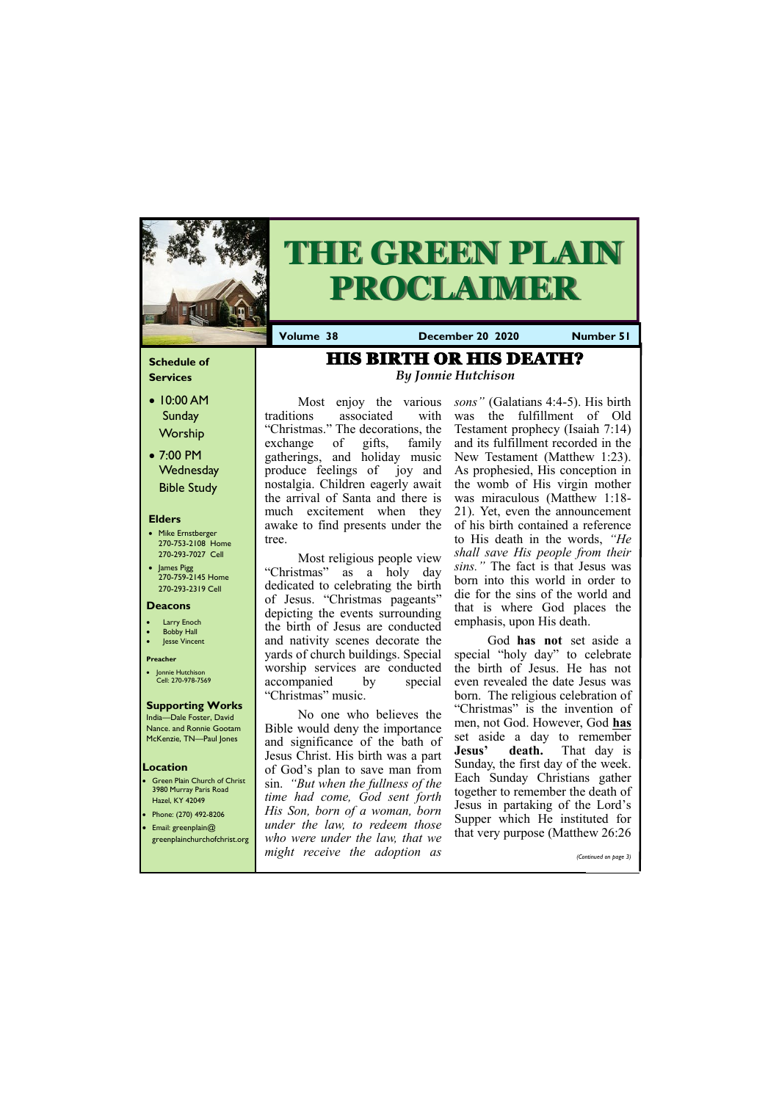# **Schedule of Services**

- 10:00 AM **Sunday** Worship
- 7:00 PM **Wednesday** Bible Study

### **Elders**

- Mike Ernstberger 270-753-2108 Home 270-293-7027 Cell
- James Pigg 270-759-2145 Home 270-293-2319 Cell

- **Green Plain Church of Christ** 3980 Murray Paris Road Hazel, KY 42049 • Phone: (270) 492-8206
- Email: greenplain@

### **Location**



# **THE GREEN PLAIN PROCLAIMER**

**Volume 38 December 20 2020 Number 51**

#### **Deacons**

- **Larry Enoch**
- **Bobby Hall**
- Jesse Vincent

#### **Preacher**

• Jonnie Hutchison Cell: 270-978-7569

### **Supporting Works**

India—Dale Foster, David Nance. and Ronnie Gootam McKenzie, TN—Paul Jones

traditions associated with "Christmas." The decorations, the exchange of gifts, family gatherings, and holiday music produce feelings of joy and nostalgia. Children eagerly await the arrival of Santa and there is much excitement when they awake to find presents under the tree.

> God **has not** set aside a special "holy day" to celebrate the birth of Jesus. He has not even revealed the date Jesus was born. The religious celebration of "Christmas" is the invention of men, not God. However, God **has** set aside a day to remember **Jesus' death.** That day is Sunday, the first day of the week. Each Sunday Christians gather together to remember the death of Jesus in partaking of the Lord's Supper which He instituted for  $t$  very proseco (Matthew 26:26

Most religious people view "Christmas" as a holy day dedicated to celebrating the birth of Jesus. "Christmas pageants" depicting the events surrounding the birth of Jesus are conducted and nativity scenes decorate the yards of church buildings. Special worship services are conducted accompanied by special "Christmas" music.

Most enjoy the various *sons"* (Galatians 4:4-5). His birth was the fulfillment of Old Testament prophecy (Isaiah 7:14) and its fulfillment recorded in the New Testament (Matthew 1:23). As prophesied, His conception in the womb of His virgin mother was miraculous (Matthew 1:18- 21). Yet, even the announcement of his birth contained a reference to His death in the words, *"He shall save His people from their sins."* The fact is that Jesus was born into this world in order to die for the sins of the world and that is where God places the emphasis, upon His death.

No one who believes the Bible would deny the importance and significance of the bath of Jesus Christ. His birth was a part of God's plan to save man from sin. *"But when the fullness of the time had come, God sent forth His Son, born of a woman, born under the law, to redeem those* 

| greenplainchurchofchrist.org who were under the law, that we | that very purpose (Matthew 20.20 |
|--------------------------------------------------------------|----------------------------------|
| might receive the adoption as                                | (Continued on page 3)            |

# HIS BIRTH OR HIS DEATH? *By Jonnie Hutchison*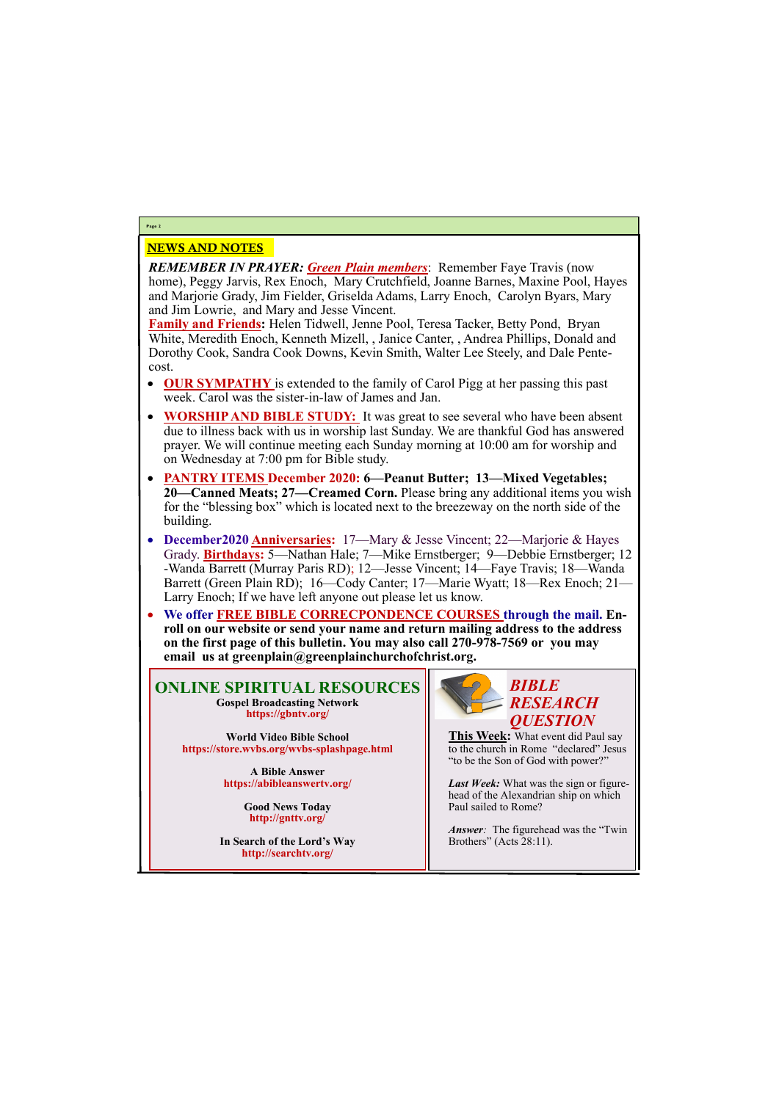# NEWS AND NOTES

*REMEMBER IN PRAYER: Green Plain members*: Remember Faye Travis (now home), Peggy Jarvis, Rex Enoch, Mary Crutchfield, Joanne Barnes, Maxine Pool, Hayes and Marjorie Grady, Jim Fielder, Griselda Adams, Larry Enoch, Carolyn Byars, Mary and Jim Lowrie, and Mary and Jesse Vincent.

**Family and Friends:** Helen Tidwell, Jenne Pool, Teresa Tacker, Betty Pond, Bryan White, Meredith Enoch, Kenneth Mizell, , Janice Canter, , Andrea Phillips, Donald and Dorothy Cook, Sandra Cook Downs, Kevin Smith, Walter Lee Steely, and Dale Pentecost.

- **OUR SYMPATHY** is extended to the family of Carol Pigg at her passing this past week. Carol was the sister-in-law of James and Jan.
- **WORSHIP AND BIBLE STUDY:** It was great to see several who have been absent due to illness back with us in worship last Sunday. We are thankful God has answered prayer. We will continue meeting each Sunday morning at 10:00 am for worship and on Wednesday at 7:00 pm for Bible study.
- **PANTRY ITEMS December 2020: 6—Peanut Butter; 13—Mixed Vegetables; 20—Canned Meats; 27—Creamed Corn.** Please bring any additional items you wish for the "blessing box" which is located next to the breezeway on the north side of the building.
- **December2020 Anniversaries:** 17—Mary & Jesse Vincent; 22—Marjorie & Hayes Grady. **Birthdays:** 5—Nathan Hale; 7—Mike Ernstberger; 9—Debbie Ernstberger; 12 -Wanda Barrett (Murray Paris RD); 12—Jesse Vincent; 14—Faye Travis; 18—Wanda Barrett (Green Plain RD); 16—Cody Canter; 17—Marie Wyatt; 18—Rex Enoch; 21— Larry Enoch; If we have left anyone out please let us know.
- **We offer FREE BIBLE CORRECPONDENCE COURSES through the mail. Enroll on our website or send your name and return mailing address to the address on the first page of this bulletin. You may also call 270-978-7569 or you may email us at greenplain@greenplainchurchofchrist.org.**

# **Page 2**

**ONLINE SPIRITUAL RESOURCES Gospel Broadcasting Network https://gbntv.org/**

**World Video Bible School https://store.wvbs.org/wvbs-splashpage.html**

> **A Bible Answer https://abibleanswertv.org/**

> > **Good News Today http://gnttv.org/**

**In Search of the Lord's Way http://searchtv.org/**

Brothers" (Acts 28:11).



**This Week:** What event did Paul say to the church in Rome "declared" Jesus "to be the Son of God with power?"

*Last Week:* What was the sign or figurehead of the Alexandrian ship on which Paul sailed to Rome?

*Answer:* The figurehead was the "Twin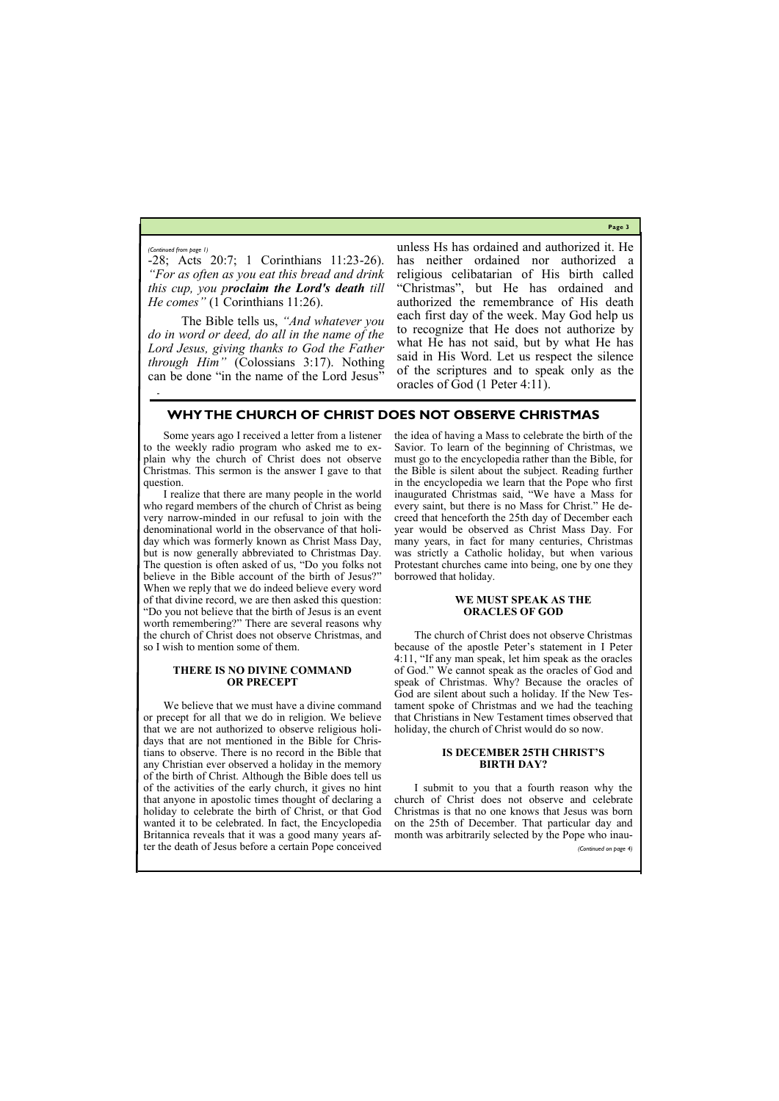**Page 3**

-28; Acts 20:7; 1 Corinthians 11:23-26). *"For as often as you eat this bread and drink this cup, you proclaim the Lord's death till He comes"* (1 Corinthians 11:26).

The Bible tells us, *"And whatever you do in word or deed, do all in the name of the Lord Jesus, giving thanks to God the Father through Him"* (Colossians 3:17). Nothing can be done "in the name of the Lord Jesus"

unless Hs has ordained and authorized it. He has neither ordained nor authorized a religious celibatarian of His birth called "Christmas", but He has ordained and authorized the remembrance of His death each first day of the week. May God help us to recognize that He does not authorize by what He has not said, but by what He has said in His Word. Let us respect the silence of the scriptures and to speak only as the oracles of God (1 Peter 4:11).

*(Continued from page 1)*

## **WHY THE CHURCH OF CHRIST DOES NOT OBSERVE CHRISTMAS**

Some years ago I received a letter from a listener to the weekly radio program who asked me to explain why the church of Christ does not observe Christmas. This sermon is the answer I gave to that question.

I realize that there are many people in the world who regard members of the church of Christ as being very narrow-minded in our refusal to join with the denominational world in the observance of that holiday which was formerly known as Christ Mass Day, but is now generally abbreviated to Christmas Day. The question is often asked of us, "Do you folks not believe in the Bible account of the birth of Jesus?" When we reply that we do indeed believe every word of that divine record, we are then asked this question: "Do you not believe that the birth of Jesus is an event worth remembering?" There are several reasons why the church of Christ does not observe Christmas, and so I wish to mention some of them.

### **THERE IS NO DIVINE COMMAND OR PRECEPT**

We believe that we must have a divine command or precept for all that we do in religion. We believe that we are not authorized to observe religious holidays that are not mentioned in the Bible for Christians to observe. There is no record in the Bible that any Christian ever observed a holiday in the memory of the birth of Christ. Although the Bible does tell us of the activities of the early church, it gives no hint that anyone in apostolic times thought of declaring a holiday to celebrate the birth of Christ, or that God wanted it to be celebrated. In fact, the Encyclopedia the idea of having a Mass to celebrate the birth of the Savior. To learn of the beginning of Christmas, we must go to the encyclopedia rather than the Bible, for the Bible is silent about the subject. Reading further in the encyclopedia we learn that the Pope who first inaugurated Christmas said, "We have a Mass for every saint, but there is no Mass for Christ." He decreed that henceforth the 25th day of December each year would be observed as Christ Mass Day. For many years, in fact for many centuries, Christmas was strictly a Catholic holiday, but when various Protestant churches came into being, one by one they borrowed that holiday.

### **WE MUST SPEAK AS THE ORACLES OF GOD**

Britannica reveals that it was a good many years after the death of Jesus before a certain Pope conceived month was arbitrarily selected by the Pope who inau- *(Continued on page 4)*

The church of Christ does not observe Christmas because of the apostle Peter's statement in I Peter 4:11, "If any man speak, let him speak as the oracles of God." We cannot speak as the oracles of God and speak of Christmas. Why? Because the oracles of God are silent about such a holiday. If the New Testament spoke of Christmas and we had the teaching that Christians in New Testament times observed that holiday, the church of Christ would do so now.

### **IS DECEMBER 25TH CHRIST'S BIRTH DAY?**

I submit to you that a fourth reason why the church of Christ does not observe and celebrate Christmas is that no one knows that Jesus was born on the 25th of December. That particular day and